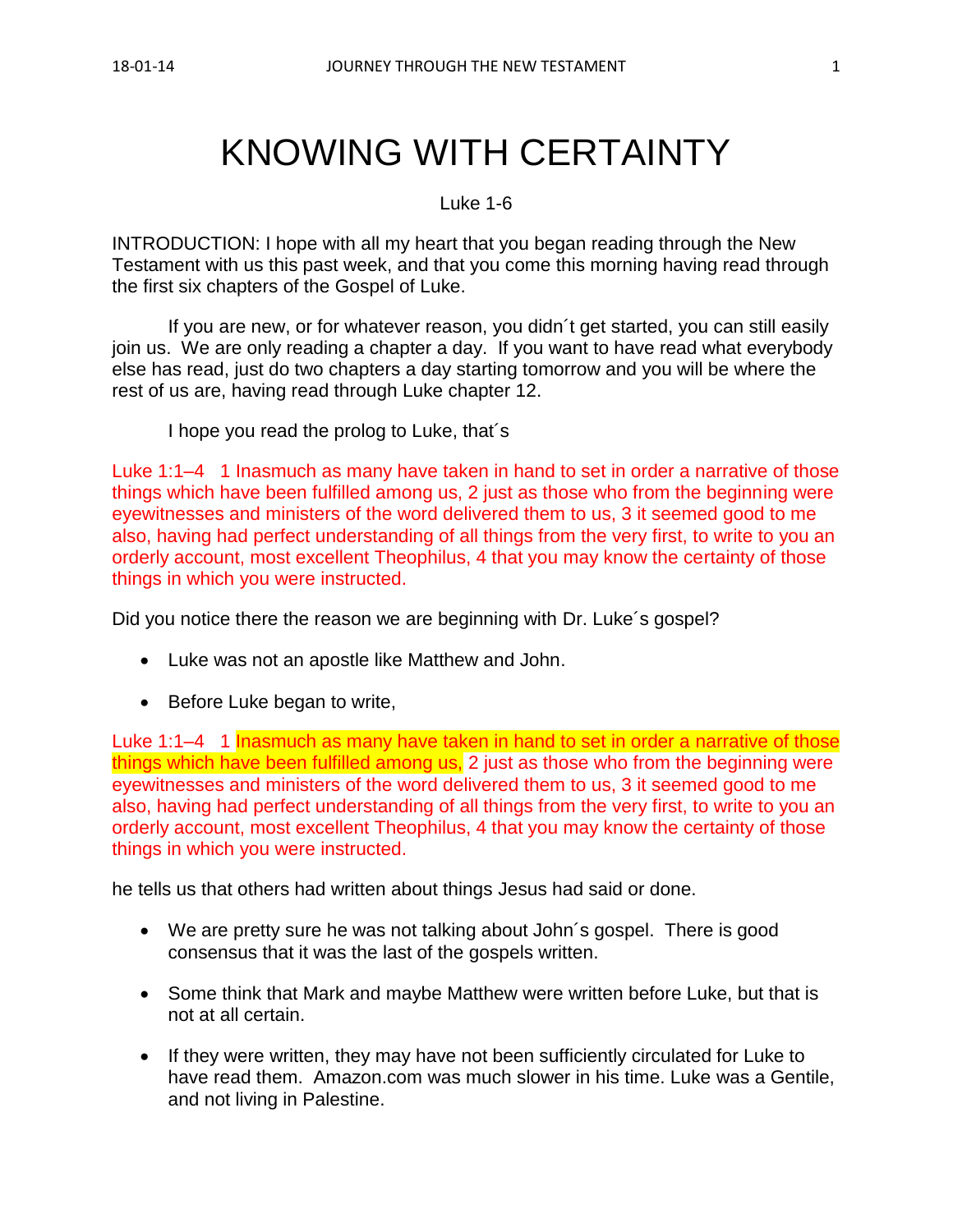# KNOWING WITH CERTAINTY

Luke 1-6

INTRODUCTION: I hope with all my heart that you began reading through the New Testament with us this past week, and that you come this morning having read through the first six chapters of the Gospel of Luke.

If you are new, or for whatever reason, you didn´t get started, you can still easily join us. We are only reading a chapter a day. If you want to have read what everybody else has read, just do two chapters a day starting tomorrow and you will be where the rest of us are, having read through Luke chapter 12.

I hope you read the prolog to Luke, that´s

Luke 1:1–4 1 Inasmuch as many have taken in hand to set in order a narrative of those things which have been fulfilled among us, 2 just as those who from the beginning were eyewitnesses and ministers of the word delivered them to us, 3 it seemed good to me also, having had perfect understanding of all things from the very first, to write to you an orderly account, most excellent Theophilus, 4 that you may know the certainty of those things in which you were instructed.

Did you notice there the reason we are beginning with Dr. Luke´s gospel?

- Luke was not an apostle like Matthew and John.
- Before Luke began to write,

Luke 1:1–4 1 Inasmuch as many have taken in hand to set in order a narrative of those things which have been fulfilled among us, 2 just as those who from the beginning were eyewitnesses and ministers of the word delivered them to us, 3 it seemed good to me also, having had perfect understanding of all things from the very first, to write to you an orderly account, most excellent Theophilus, 4 that you may know the certainty of those things in which you were instructed.

he tells us that others had written about things Jesus had said or done.

- We are pretty sure he was not talking about John's gospel. There is good consensus that it was the last of the gospels written.
- Some think that Mark and maybe Matthew were written before Luke, but that is not at all certain.
- If they were written, they may have not been sufficiently circulated for Luke to have read them. Amazon.com was much slower in his time. Luke was a Gentile, and not living in Palestine.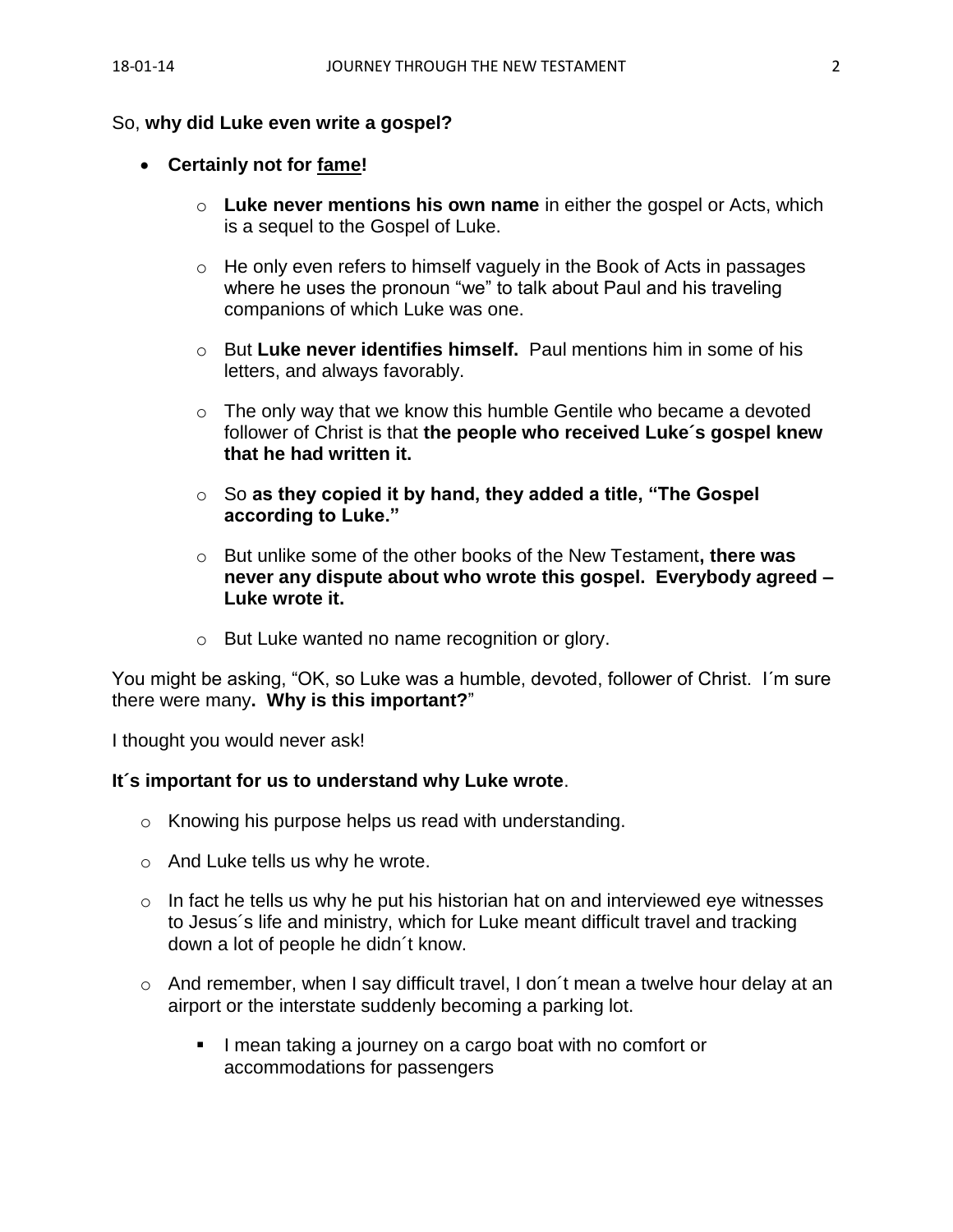#### So, **why did Luke even write a gospel?**

#### • **Certainly not for fame!**

- o **Luke never mentions his own name** in either the gospel or Acts, which is a sequel to the Gospel of Luke.
- o He only even refers to himself vaguely in the Book of Acts in passages where he uses the pronoun "we" to talk about Paul and his traveling companions of which Luke was one.
- o But **Luke never identifies himself.** Paul mentions him in some of his letters, and always favorably.
- $\circ$  The only way that we know this humble Gentile who became a devoted follower of Christ is that **the people who received Luke´s gospel knew that he had written it.**
- o So **as they copied it by hand, they added a title, "The Gospel according to Luke."**
- o But unlike some of the other books of the New Testament**, there was never any dispute about who wrote this gospel. Everybody agreed – Luke wrote it.**
- o But Luke wanted no name recognition or glory.

You might be asking, "OK, so Luke was a humble, devoted, follower of Christ. I´m sure there were many**. Why is this important?**"

I thought you would never ask!

#### **It´s important for us to understand why Luke wrote**.

- o Knowing his purpose helps us read with understanding.
- o And Luke tells us why he wrote.
- $\circ$  In fact he tells us why he put his historian hat on and interviewed eye witnesses to Jesus´s life and ministry, which for Luke meant difficult travel and tracking down a lot of people he didn´t know.
- o And remember, when I say difficult travel, I don´t mean a twelve hour delay at an airport or the interstate suddenly becoming a parking lot.
	- I mean taking a journey on a cargo boat with no comfort or accommodations for passengers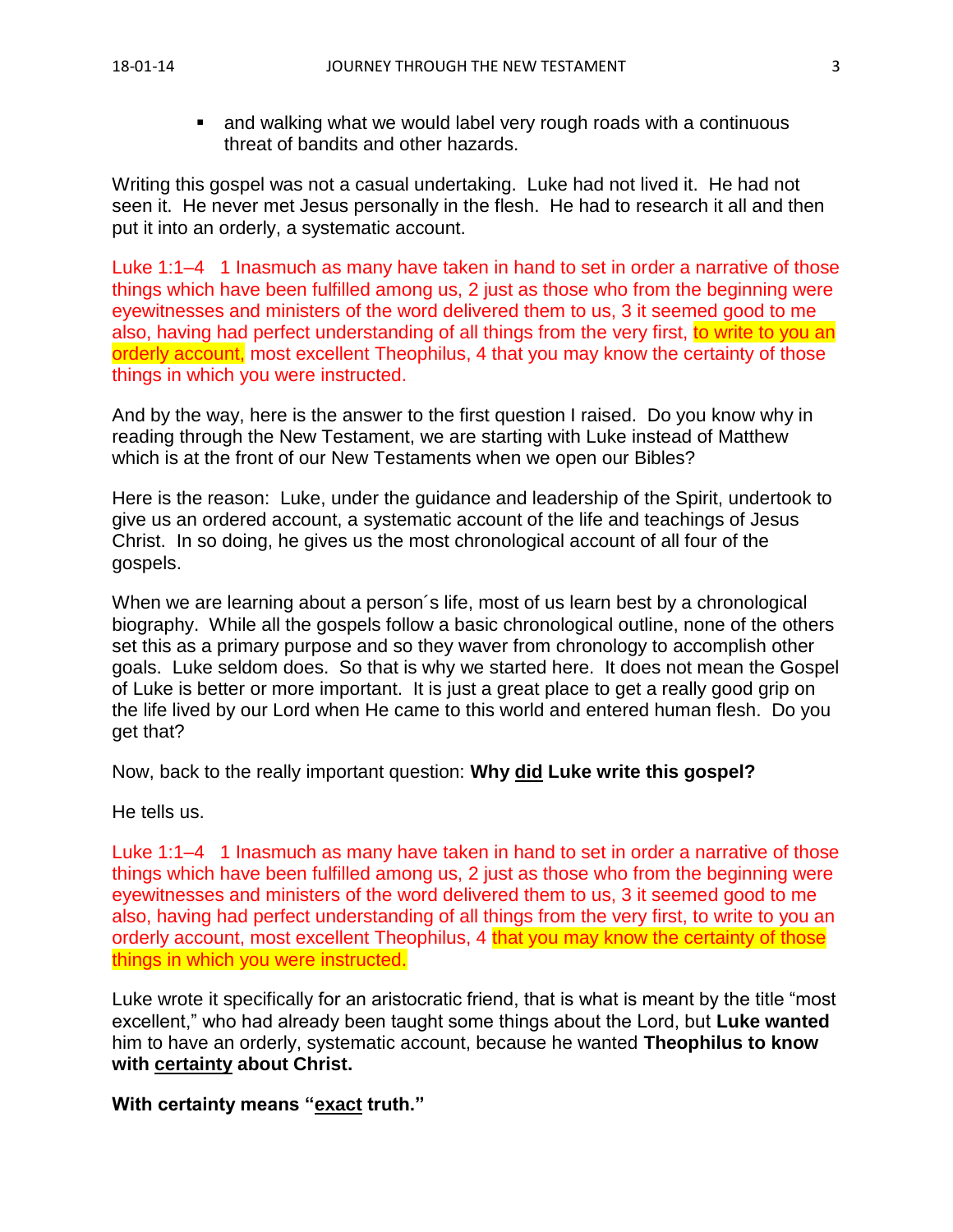■ and walking what we would label very rough roads with a continuous threat of bandits and other hazards.

Writing this gospel was not a casual undertaking. Luke had not lived it. He had not seen it. He never met Jesus personally in the flesh. He had to research it all and then put it into an orderly, a systematic account.

Luke 1:1–4 1 Inasmuch as many have taken in hand to set in order a narrative of those things which have been fulfilled among us, 2 just as those who from the beginning were eyewitnesses and ministers of the word delivered them to us, 3 it seemed good to me also, having had perfect understanding of all things from the very first, to write to you an orderly account, most excellent Theophilus, 4 that you may know the certainty of those things in which you were instructed.

And by the way, here is the answer to the first question I raised. Do you know why in reading through the New Testament, we are starting with Luke instead of Matthew which is at the front of our New Testaments when we open our Bibles?

Here is the reason: Luke, under the guidance and leadership of the Spirit, undertook to give us an ordered account, a systematic account of the life and teachings of Jesus Christ. In so doing, he gives us the most chronological account of all four of the gospels.

When we are learning about a person´s life, most of us learn best by a chronological biography. While all the gospels follow a basic chronological outline, none of the others set this as a primary purpose and so they waver from chronology to accomplish other goals. Luke seldom does. So that is why we started here. It does not mean the Gospel of Luke is better or more important. It is just a great place to get a really good grip on the life lived by our Lord when He came to this world and entered human flesh. Do you get that?

Now, back to the really important question: **Why did Luke write this gospel?**

He tells us.

Luke 1:1–4 1 Inasmuch as many have taken in hand to set in order a narrative of those things which have been fulfilled among us, 2 just as those who from the beginning were eyewitnesses and ministers of the word delivered them to us, 3 it seemed good to me also, having had perfect understanding of all things from the very first, to write to you an orderly account, most excellent Theophilus, 4 that you may know the certainty of those things in which you were instructed.

Luke wrote it specifically for an aristocratic friend, that is what is meant by the title "most excellent," who had already been taught some things about the Lord, but **Luke wanted** him to have an orderly, systematic account, because he wanted **Theophilus to know with certainty about Christ.**

**With certainty means "exact truth."**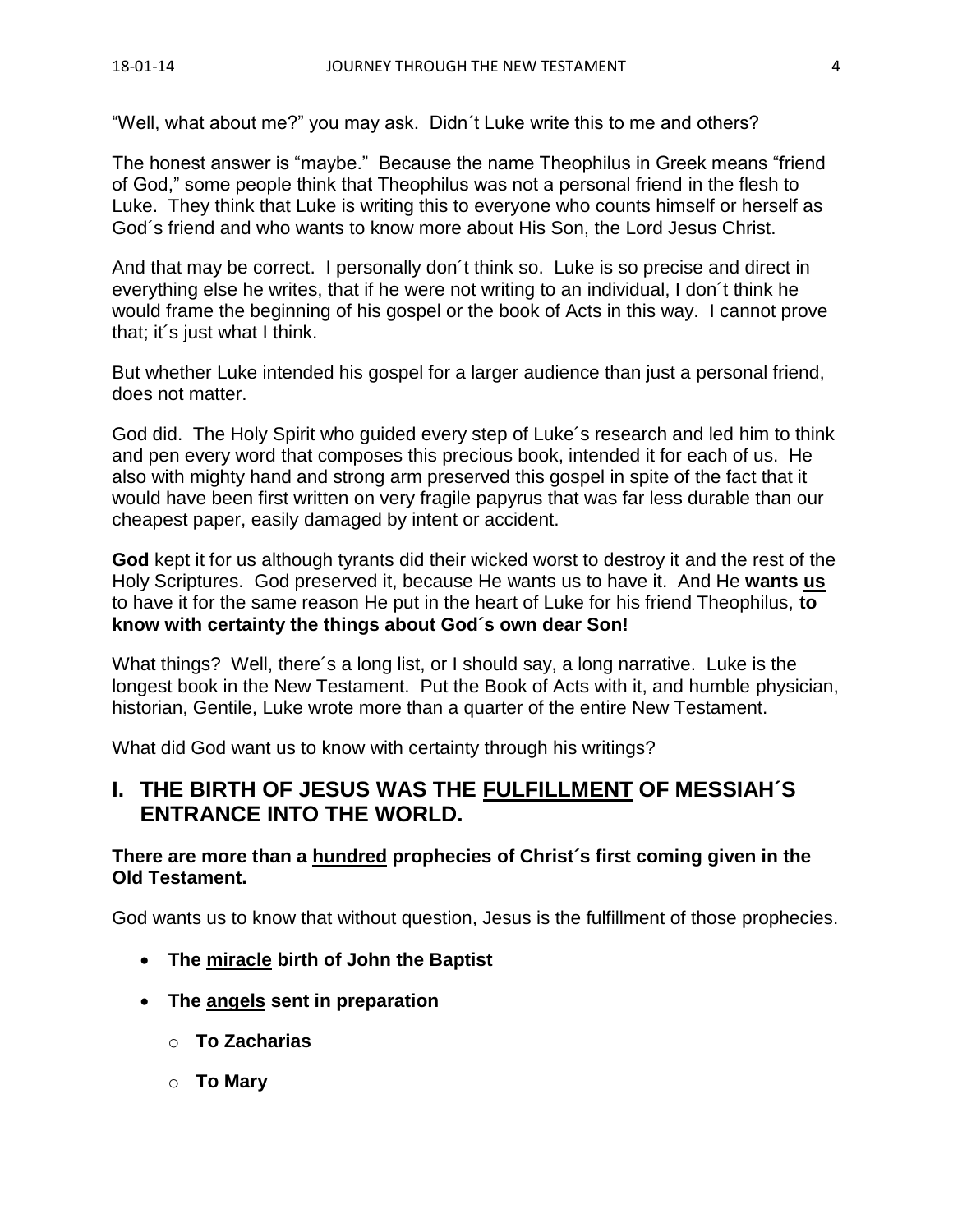"Well, what about me?" you may ask. Didn´t Luke write this to me and others?

The honest answer is "maybe." Because the name Theophilus in Greek means "friend of God," some people think that Theophilus was not a personal friend in the flesh to Luke. They think that Luke is writing this to everyone who counts himself or herself as God´s friend and who wants to know more about His Son, the Lord Jesus Christ.

And that may be correct. I personally don´t think so. Luke is so precise and direct in everything else he writes, that if he were not writing to an individual, I don´t think he would frame the beginning of his gospel or the book of Acts in this way. I cannot prove that; it´s just what I think.

But whether Luke intended his gospel for a larger audience than just a personal friend, does not matter.

God did. The Holy Spirit who guided every step of Luke´s research and led him to think and pen every word that composes this precious book, intended it for each of us. He also with mighty hand and strong arm preserved this gospel in spite of the fact that it would have been first written on very fragile papyrus that was far less durable than our cheapest paper, easily damaged by intent or accident.

**God** kept it for us although tyrants did their wicked worst to destroy it and the rest of the Holy Scriptures. God preserved it, because He wants us to have it. And He **wants us** to have it for the same reason He put in the heart of Luke for his friend Theophilus, **to know with certainty the things about God´s own dear Son!**

What things? Well, there's a long list, or I should say, a long narrative. Luke is the longest book in the New Testament. Put the Book of Acts with it, and humble physician, historian, Gentile, Luke wrote more than a quarter of the entire New Testament.

What did God want us to know with certainty through his writings?

# **I. THE BIRTH OF JESUS WAS THE FULFILLMENT OF MESSIAH´S ENTRANCE INTO THE WORLD.**

## **There are more than a hundred prophecies of Christ´s first coming given in the Old Testament.**

God wants us to know that without question, Jesus is the fulfillment of those prophecies.

- **The miracle birth of John the Baptist**
- **The angels sent in preparation**
	- o **To Zacharias**
	- o **To Mary**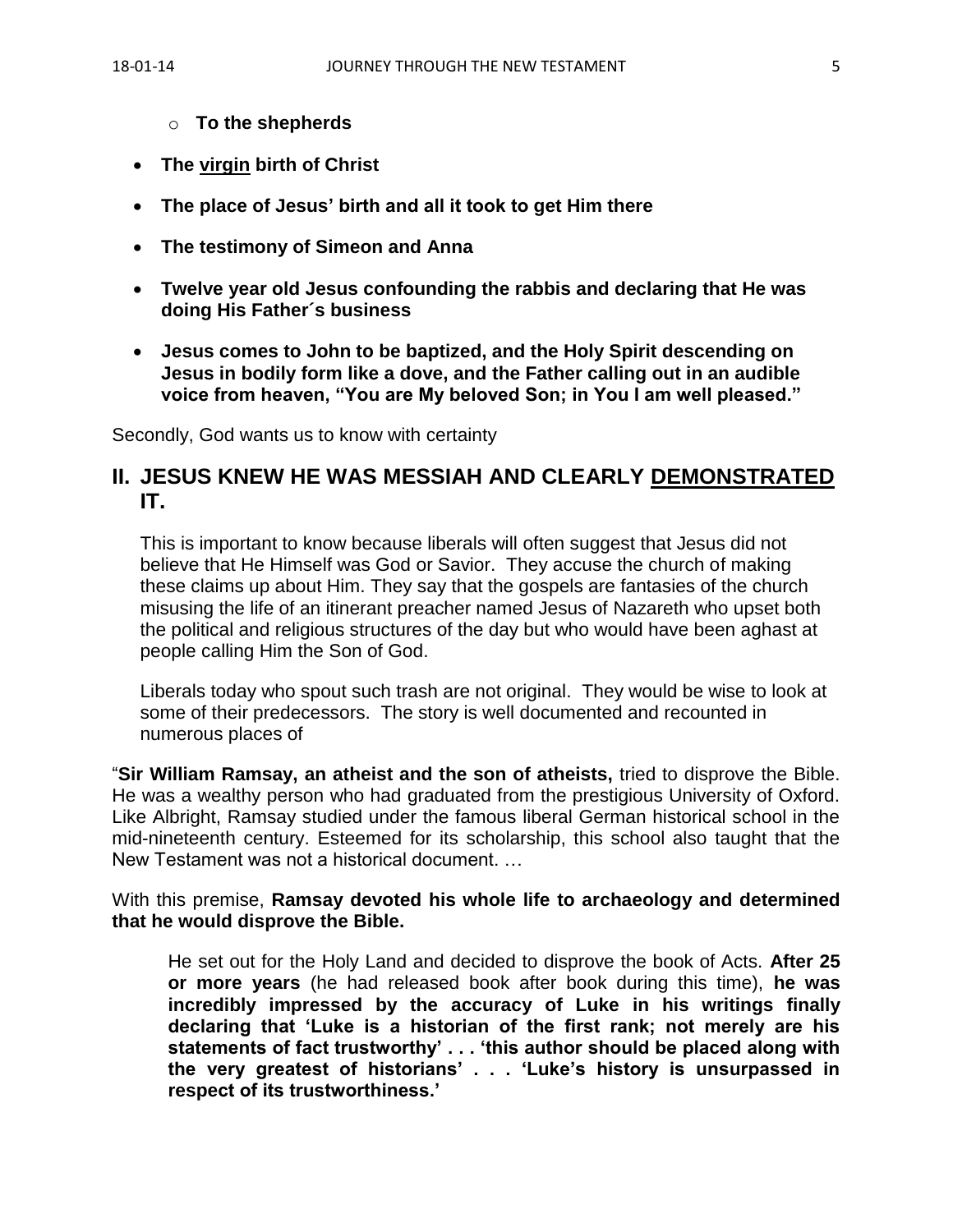- o **To the shepherds**
- **The virgin birth of Christ**
- **The place of Jesus' birth and all it took to get Him there**
- **The testimony of Simeon and Anna**
- **Twelve year old Jesus confounding the rabbis and declaring that He was doing His Father´s business**
- **Jesus comes to John to be baptized, and the Holy Spirit descending on Jesus in bodily form like a dove, and the Father calling out in an audible voice from heaven, "You are My beloved Son; in You I am well pleased."**

Secondly, God wants us to know with certainty

## **II. JESUS KNEW HE WAS MESSIAH AND CLEARLY DEMONSTRATED IT.**

This is important to know because liberals will often suggest that Jesus did not believe that He Himself was God or Savior. They accuse the church of making these claims up about Him. They say that the gospels are fantasies of the church misusing the life of an itinerant preacher named Jesus of Nazareth who upset both the political and religious structures of the day but who would have been aghast at people calling Him the Son of God.

Liberals today who spout such trash are not original. They would be wise to look at some of their predecessors. The story is well documented and recounted in numerous places of

"**Sir William Ramsay, an atheist and the son of atheists,** tried to disprove the Bible. He was a wealthy person who had graduated from the prestigious University of Oxford. Like Albright, Ramsay studied under the famous liberal German historical school in the mid-nineteenth century. Esteemed for its scholarship, this school also taught that the New Testament was not a historical document. …

With this premise, **Ramsay devoted his whole life to archaeology and determined that he would disprove the Bible.**

He set out for the Holy Land and decided to disprove the book of Acts. **After 25 or more years** (he had released book after book during this time), **he was incredibly impressed by the accuracy of Luke in his writings finally declaring that 'Luke is a historian of the first rank; not merely are his statements of fact trustworthy' . . . 'this author should be placed along with the very greatest of historians' . . . 'Luke's history is unsurpassed in respect of its trustworthiness.'**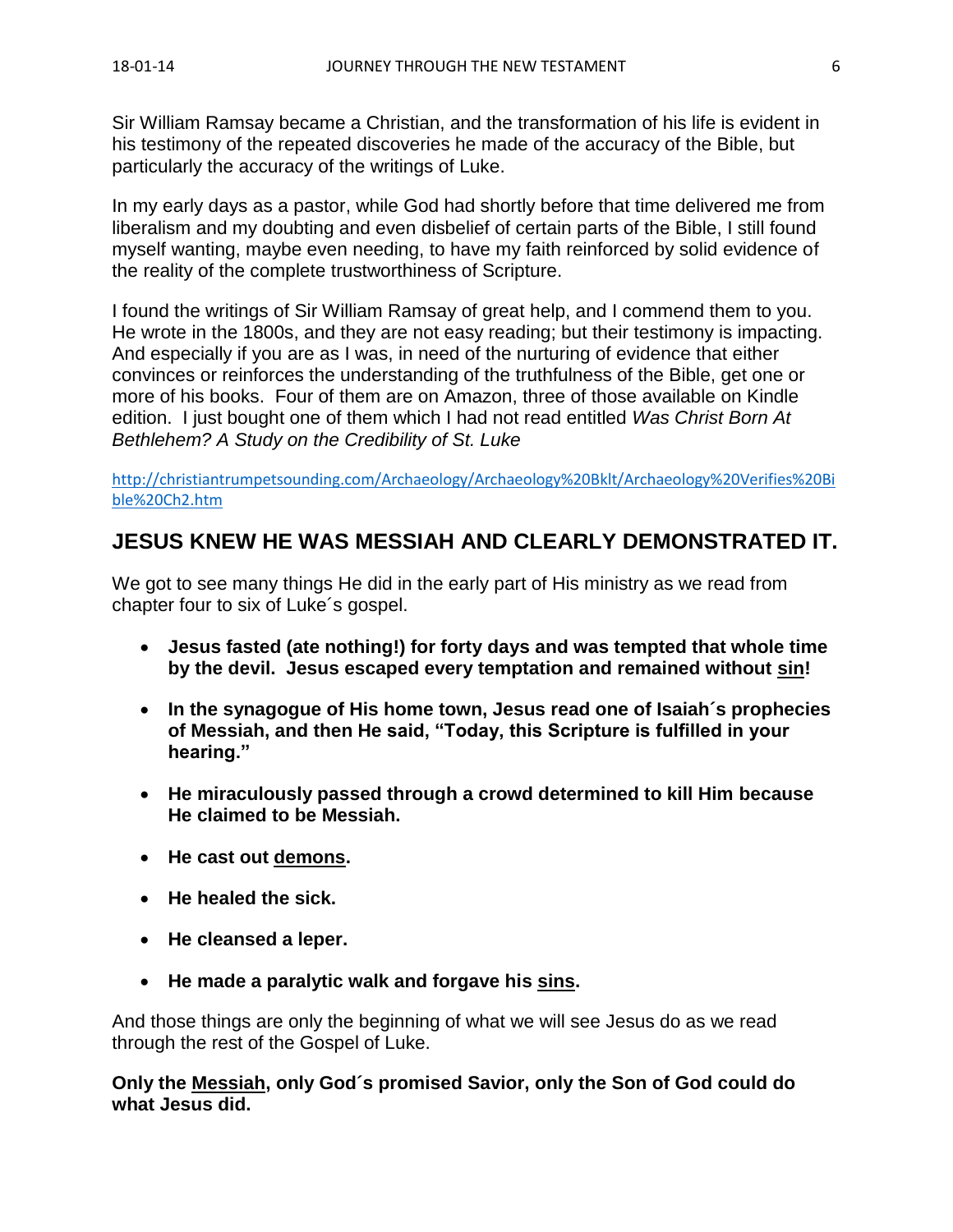Sir William Ramsay became a Christian, and the transformation of his life is evident in his testimony of the repeated discoveries he made of the accuracy of the Bible, but particularly the accuracy of the writings of Luke.

In my early days as a pastor, while God had shortly before that time delivered me from liberalism and my doubting and even disbelief of certain parts of the Bible, I still found myself wanting, maybe even needing, to have my faith reinforced by solid evidence of the reality of the complete trustworthiness of Scripture.

I found the writings of Sir William Ramsay of great help, and I commend them to you. He wrote in the 1800s, and they are not easy reading; but their testimony is impacting. And especially if you are as I was, in need of the nurturing of evidence that either convinces or reinforces the understanding of the truthfulness of the Bible, get one or more of his books. Four of them are on Amazon, three of those available on Kindle edition. I just bought one of them which I had not read entitled *Was Christ Born At Bethlehem? A Study on the Credibility of St. Luke*

[http://christiantrumpetsounding.com/Archaeology/Archaeology%20Bklt/Archaeology%20Verifies%20Bi](http://christiantrumpetsounding.com/Archaeology/Archaeology%20Bklt/Archaeology%20Verifies%20Bible%20Ch2.htm) [ble%20Ch2.htm](http://christiantrumpetsounding.com/Archaeology/Archaeology%20Bklt/Archaeology%20Verifies%20Bible%20Ch2.htm)

# **JESUS KNEW HE WAS MESSIAH AND CLEARLY DEMONSTRATED IT.**

We got to see many things He did in the early part of His ministry as we read from chapter four to six of Luke´s gospel.

- **Jesus fasted (ate nothing!) for forty days and was tempted that whole time by the devil. Jesus escaped every temptation and remained without sin!**
- **In the synagogue of His home town, Jesus read one of Isaiah´s prophecies of Messiah, and then He said, "Today, this Scripture is fulfilled in your hearing."**
- **He miraculously passed through a crowd determined to kill Him because He claimed to be Messiah.**
- **He cast out demons.**
- **He healed the sick.**
- **He cleansed a leper.**
- **He made a paralytic walk and forgave his sins.**

And those things are only the beginning of what we will see Jesus do as we read through the rest of the Gospel of Luke.

**Only the Messiah, only God´s promised Savior, only the Son of God could do what Jesus did.**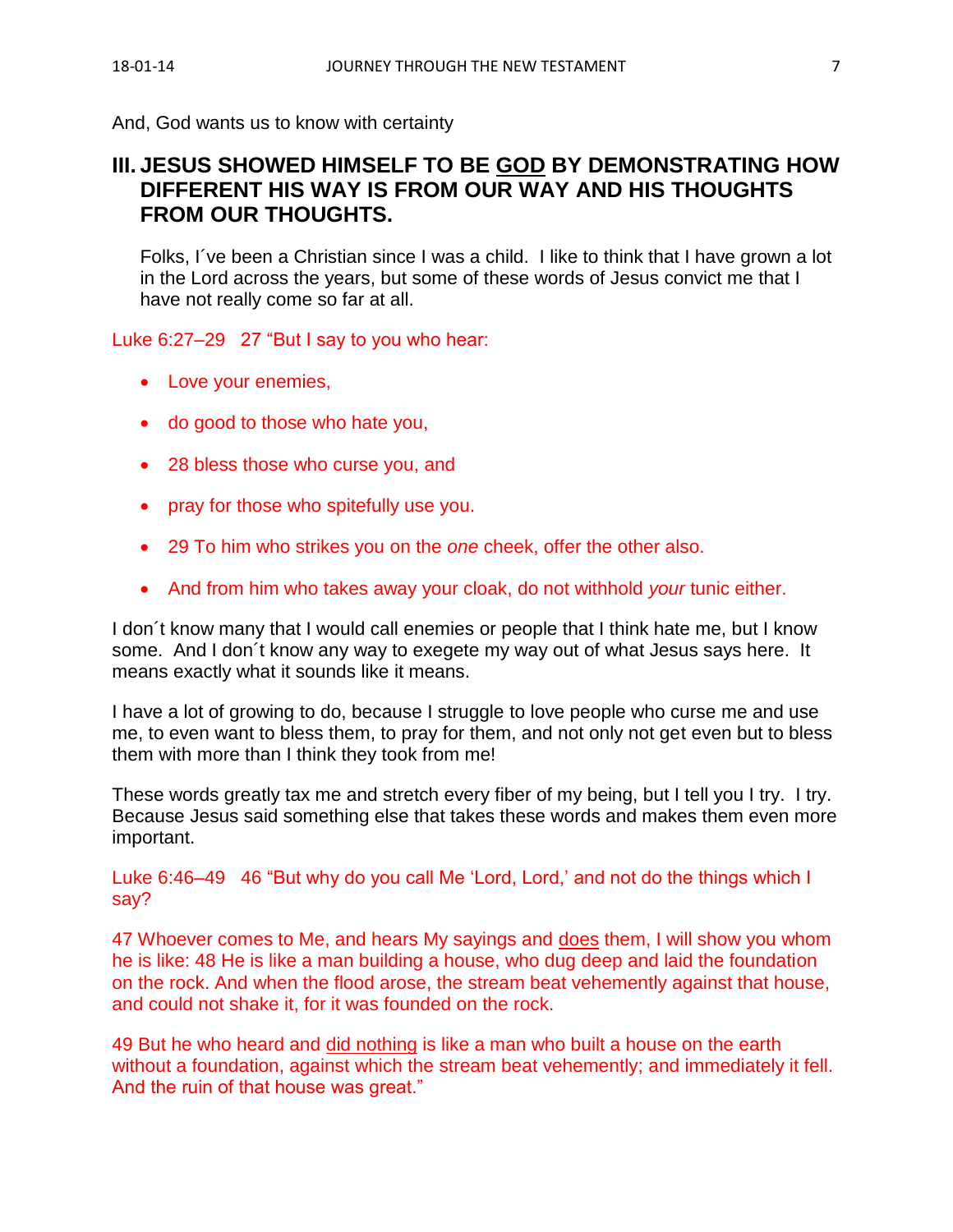And, God wants us to know with certainty

# **III. JESUS SHOWED HIMSELF TO BE GOD BY DEMONSTRATING HOW DIFFERENT HIS WAY IS FROM OUR WAY AND HIS THOUGHTS FROM OUR THOUGHTS.**

Folks, I´ve been a Christian since I was a child. I like to think that I have grown a lot in the Lord across the years, but some of these words of Jesus convict me that I have not really come so far at all.

### Luke 6:27–29 27 "But I say to you who hear:

- Love your enemies,
- do good to those who hate you,
- 28 bless those who curse you, and
- pray for those who spitefully use you.
- 29 To him who strikes you on the *one* cheek, offer the other also.
- And from him who takes away your cloak, do not withhold *your* tunic either.

I don´t know many that I would call enemies or people that I think hate me, but I know some. And I don´t know any way to exegete my way out of what Jesus says here. It means exactly what it sounds like it means.

I have a lot of growing to do, because I struggle to love people who curse me and use me, to even want to bless them, to pray for them, and not only not get even but to bless them with more than I think they took from me!

These words greatly tax me and stretch every fiber of my being, but I tell you I try. I try. Because Jesus said something else that takes these words and makes them even more important.

Luke 6:46–49 46 "But why do you call Me 'Lord, Lord,' and not do the things which I say?

47 Whoever comes to Me, and hears My sayings and does them, I will show you whom he is like: 48 He is like a man building a house, who dug deep and laid the foundation on the rock. And when the flood arose, the stream beat vehemently against that house, and could not shake it, for it was founded on the rock.

49 But he who heard and did nothing is like a man who built a house on the earth without a foundation, against which the stream beat vehemently; and immediately it fell. And the ruin of that house was great."